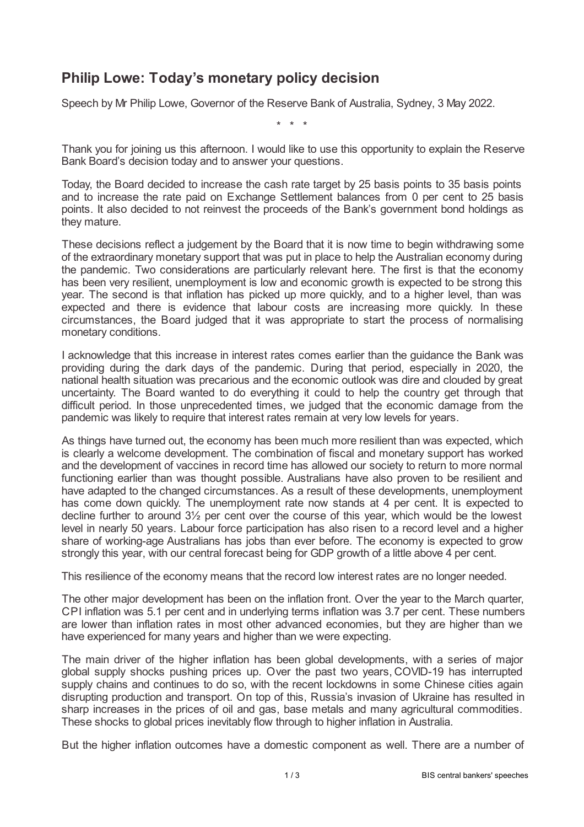## **Philip Lowe: Today's monetary policy decision**

Speech by Mr Philip Lowe, Governor of the Reserve Bank of Australia, Sydney, 3 May 2022.

\* \* \*

Thank you for joining us this afternoon. I would like to use this opportunity to explain the Reserve Bank Board's decision today and to answer your questions.

Today, the Board decided to increase the cash rate target by 25 basis points to 35 basis points and to increase the rate paid on Exchange Settlement balances from 0 per cent to 25 basis points. It also decided to not reinvest the proceeds of the Bank's government bond holdings as they mature.

These decisions reflect a judgement by the Board that it is now time to begin withdrawing some of the extraordinary monetary support that was put in place to help the Australian economy during the pandemic. Two considerations are particularly relevant here. The first is that the economy has been very resilient, unemployment is low and economic growth is expected to be strong this year. The second is that inflation has picked up more quickly, and to a higher level, than was expected and there is evidence that labour costs are increasing more quickly. In these circumstances, the Board judged that it was appropriate to start the process of normalising monetary conditions.

I acknowledge that this increase in interest rates comes earlier than the guidance the Bank was providing during the dark days of the pandemic. During that period, especially in 2020, the national health situation was precarious and the economic outlook was dire and clouded by great uncertainty. The Board wanted to do everything it could to help the country get through that difficult period. In those unprecedented times, we judged that the economic damage from the pandemic was likely to require that interest rates remain at very low levels for years.

As things have turned out, the economy has been much more resilient than was expected, which is clearly a welcome development. The combination of fiscal and monetary support has worked and the development of vaccines in record time has allowed our society to return to more normal functioning earlier than was thought possible. Australians have also proven to be resilient and have adapted to the changed circumstances. As a result of these developments, unemployment has come down quickly. The unemployment rate now stands at 4 per cent. It is expected to decline further to around 3½ per cent over the course of this year, which would be the lowest level in nearly 50 years. Labour force participation has also risen to a record level and a higher share of working-age Australians has jobs than ever before. The economy is expected to grow strongly this year, with our central forecast being for GDP growth of a little above 4 per cent.

This resilience of the economy means that the record low interest rates are no longer needed.

The other major development has been on the inflation front. Over the year to the March quarter, CPI inflation was 5.1 per cent and in underlying terms inflation was 3.7 per cent. These numbers are lower than inflation rates in most other advanced economies, but they are higher than we have experienced for many years and higher than we were expecting.

The main driver of the higher inflation has been global developments, with a series of major global supply shocks pushing prices up. Over the past two years, COVID-19 has interrupted supply chains and continues to do so, with the recent lockdowns in some Chinese cities again disrupting production and transport. On top of this, Russia's invasion of Ukraine has resulted in sharp increases in the prices of oil and gas, base metals and many agricultural commodities. These shocks to global prices inevitably flow through to higher inflation in Australia.

But the higher inflation outcomes have a domestic component as well. There are a number of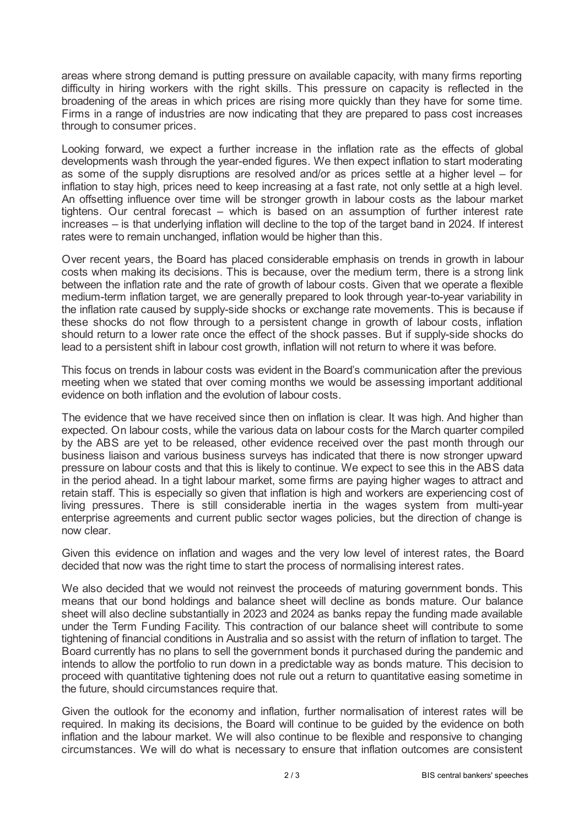areas where strong demand is putting pressure on available capacity, with many firms reporting difficulty in hiring workers with the right skills. This pressure on capacity is reflected in the broadening of the areas in which prices are rising more quickly than they have for some time. Firms in a range of industries are now indicating that they are prepared to pass cost increases through to consumer prices.

Looking forward, we expect a further increase in the inflation rate as the effects of global developments wash through the year-ended figures. We then expect inflation to start moderating as some of the supply disruptions are resolved and/or as prices settle at a higher level – for inflation to stay high, prices need to keep increasing at a fast rate, not only settle at a high level. An offsetting influence over time will be stronger growth in labour costs as the labour market tightens. Our central forecast – which is based on an assumption of further interest rate increases – is that underlying inflation will decline to the top of the target band in 2024. If interest rates were to remain unchanged, inflation would be higher than this.

Over recent years, the Board has placed considerable emphasis on trends in growth in labour costs when making its decisions. This is because, over the medium term, there is a strong link between the inflation rate and the rate of growth of labour costs. Given that we operate a flexible medium-term inflation target, we are generally prepared to look through year-to-year variability in the inflation rate caused by supply-side shocks or exchange rate movements. This is because if these shocks do not flow through to a persistent change in growth of labour costs, inflation should return to a lower rate once the effect of the shock passes. But if supply-side shocks do lead to a persistent shift in labour cost growth, inflation will not return to where it was before.

This focus on trends in labour costs was evident in the Board's communication after the previous meeting when we stated that over coming months we would be assessing important additional evidence on both inflation and the evolution of labour costs.

The evidence that we have received since then on inflation is clear. It was high. And higher than expected. On labour costs, while the various data on labour costs for the March quarter compiled by the ABS are yet to be released, other evidence received over the past month through our business liaison and various business surveys has indicated that there is now stronger upward pressure on labour costs and that this is likely to continue. We expect to see this in the ABS data in the period ahead. In a tight labour market, some firms are paying higher wages to attract and retain staff. This is especially so given that inflation is high and workers are experiencing cost of living pressures. There is still considerable inertia in the wages system from multi-year enterprise agreements and current public sector wages policies, but the direction of change is now clear.

Given this evidence on inflation and wages and the very low level of interest rates, the Board decided that now was the right time to start the process of normalising interest rates.

We also decided that we would not reinvest the proceeds of maturing government bonds. This means that our bond holdings and balance sheet will decline as bonds mature. Our balance sheet will also decline substantially in 2023 and 2024 as banks repay the funding made available under the Term Funding Facility. This contraction of our balance sheet will contribute to some tightening of financial conditions in Australia and so assist with the return of inflation to target. The Board currently has no plans to sell the government bonds it purchased during the pandemic and intends to allow the portfolio to run down in a predictable way as bonds mature. This decision to proceed with quantitative tightening does not rule out a return to quantitative easing sometime in the future, should circumstances require that.

Given the outlook for the economy and inflation, further normalisation of interest rates will be required. In making its decisions, the Board will continue to be guided by the evidence on both inflation and the labour market. We will also continue to be flexible and responsive to changing circumstances. We will do what is necessary to ensure that inflation outcomes are consistent